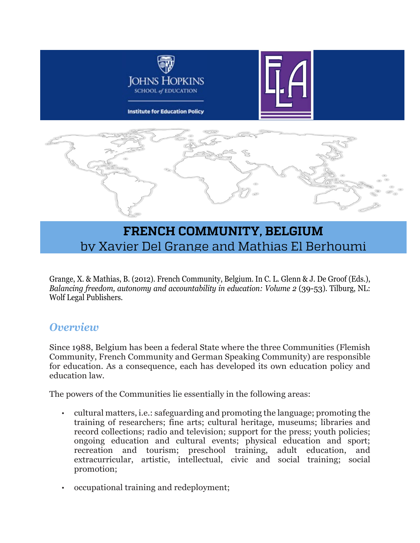

# **FRENCH COMMUNITY, BELGIUM** by Xavier Del Grange and Mathias El Berhoumi

Grange, X. & Mathias, B. (2012). French Community, Belgium. In C. L. Glenn & J. De Groof (Eds.), *Balancing freedom, autonomy and accountability in education: Volume 2* (39-53). Tilburg, NL: Wolf Legal Publishers.

#### *Overview*

Since 1988, Belgium has been a federal State where the three Communities (Flemish Community, French Community and German Speaking Community) are responsible for education. As a consequence, each has developed its own education policy and education law.

The powers of the Communities lie essentially in the following areas:

- cultural matters, i.e.: safeguarding and promoting the language; promoting the training of researchers; fine arts; cultural heritage, museums; libraries and record collections; radio and television; support for the press; youth policies; ongoing education and cultural events; physical education and sport; recreation and tourism; preschool training, adult education, and extracurricular, artistic, intellectual, civic and social training; social promotion;
- occupational training and redeployment;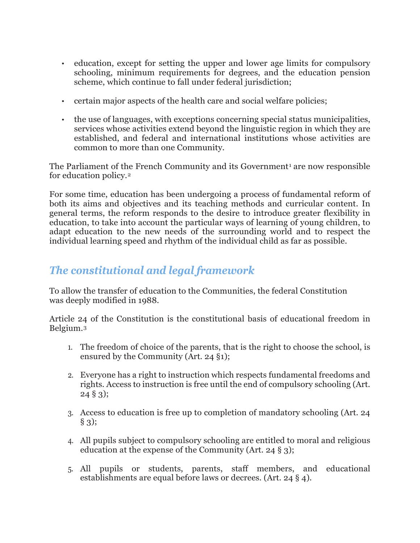- education, except for setting the upper and lower age limits for compulsory schooling, minimum requirements for degrees, and the education pension scheme, which continue to fall under federal jurisdiction;
- certain major aspects of the health care and social welfare policies;
- the use of languages, with exceptions concerning special status municipalities, services whose activities extend beyond the linguistic region in which they are established, and federal and international institutions whose activities are common to more than one Community.

The Parliament of the French Community and its Government<sup>[1](#page-14-0)</sup> are now responsible for education policy.[2](#page-14-1)

For some time, education has been undergoing a process of fundamental reform of both its aims and objectives and its teaching methods and curricular content. In general terms, the reform responds to the desire to introduce greater flexibility in education, to take into account the particular ways of learning of young children, to adapt education to the new needs of the surrounding world and to respect the individual learning speed and rhythm of the individual child as far as possible.

#### *The constitutional and legal framework*

To allow the transfer of education to the Communities, the federal Constitution was deeply modified in 1988.

Article 24 of the Constitution is the constitutional basis of educational freedom in Belgium.[3](#page-14-2)

- 1. The freedom of choice of the parents, that is the right to choose the school, is ensured by the Community (Art. 24 §1);
- 2. Everyone has a right to instruction which respects fundamental freedoms and rights. Access to instruction is free until the end of compulsory schooling (Art. 24 § 3);
- 3. Access to education is free up to completion of mandatory schooling (Art. 24 § 3);
- 4. All pupils subject to compulsory schooling are entitled to moral and religious education at the expense of the Community (Art. 24 § 3);
- 5. All pupils or students, parents, staff members, and educational establishments are equal before laws or decrees. (Art. 24 § 4).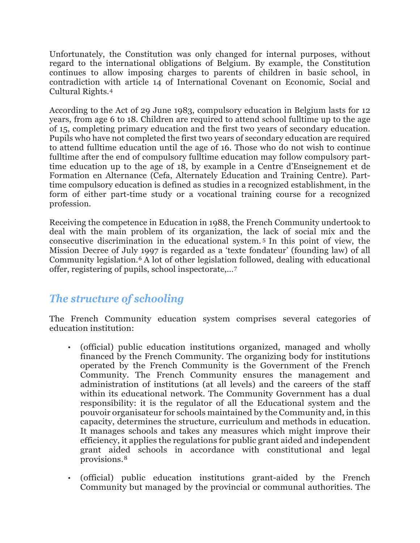Unfortunately, the Constitution was only changed for internal purposes, without regard to the international obligations of Belgium. By example, the Constitution continues to allow imposing charges to parents of children in basic school, in contradiction with article 14 of International Covenant on Economic, Social and Cultural Rights.[4](#page-14-3)

According to the Act of 29 June 1983, compulsory education in Belgium lasts for 12 years, from age 6 to 18. Children are required to attend school fulltime up to the age of 15, completing primary education and the first two years of secondary education. Pupils who have not completed the first two years of secondary education are required to attend fulltime education until the age of 16. Those who do not wish to continue fulltime after the end of compulsory fulltime education may follow compulsory parttime education up to the age of 18, by example in a Centre d'Enseignement et de Formation en Alternance (Cefa, Alternately Education and Training Centre). Parttime compulsory education is defined as studies in a recognized establishment, in the form of either part-time study or a vocational training course for a recognized profession.

Receiving the competence in Education in 1988, the French Community undertook to deal with the main problem of its organization, the lack of social mix and the consecutive discrimination in the educational system. [5](#page-14-4) In this point of view, the Mission Decree of July 1997 is regarded as a 'texte fondateur' (founding law) of all Community legislation.[6](#page-14-5) A lot of other legislation followed, dealing with educational offer, registering of pupils, school inspectorate,…[7](#page-14-6)

### *The structure of schooling*

The French Community education system comprises several categories of education institution:

- (official) public education institutions organized, managed and wholly financed by the French Community. The organizing body for institutions operated by the French Community is the Government of the French Community. The French Community ensures the management and administration of institutions (at all levels) and the careers of the staff within its educational network. The Community Government has a dual responsibility: it is the regulator of all the Educational system and the pouvoir organisateur for schools maintained by the Community and, in this capacity, determines the structure, curriculum and methods in education. It manages schools and takes any measures which might improve their efficiency, it applies the regulations for public grant aided and independent grant aided schools in accordance with constitutional and legal provisions.[8](#page-14-7)
- (official) public education institutions grant-aided by the French Community but managed by the provincial or communal authorities. The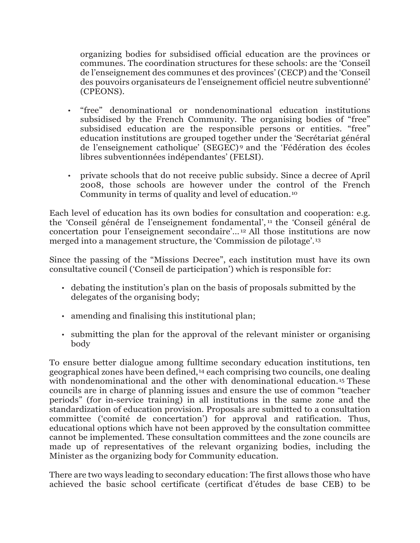organizing bodies for subsidised official education are the provinces or communes. The coordination structures for these schools: are the 'Conseil de l'enseignement des communes et des provinces' (CECP) and the 'Conseil des pouvoirs organisateurs de l'enseignement officiel neutre subventionné' (CPEONS).

- "free" denominational or nondenominational education institutions subsidised by the French Community. The organising bodies of "free" subsidised education are the responsible persons or entities. "free" education institutions are grouped together under the 'Secrétariat général de l'enseignement catholique' (SEGEC) [9](#page-14-8) and the 'Fédération des écoles libres subventionnées indépendantes' (FELSI).
- private schools that do not receive public subsidy. Since a decree of April 2008, those schools are however under the control of the French Community in terms of quality and level of education.[10](#page-14-9)

Each level of education has its own bodies for consultation and cooperation: e.g. the 'Conseil général de l'enseignement fondamental', [11](#page-15-0) the 'Conseil général de concertation pour l'enseignement secondaire'…[12](#page-15-1) All those institutions are now merged into a management structure, the 'Commission de pilotage'.[13](#page-15-2)

Since the passing of the "Missions Decree", each institution must have its own consultative council ('Conseil de participation') which is responsible for:

- debating the institution's plan on the basis of proposals submitted by the delegates of the organising body;
- amending and finalising this institutional plan;
- submitting the plan for the approval of the relevant minister or organising body

To ensure better dialogue among fulltime secondary education institutions, ten geographical zones have been defined,[14](#page-15-3) each comprising two councils, one dealing with nondenominational and the other with denominational education.<sup>[15](#page-15-4)</sup> These councils are in charge of planning issues and ensure the use of common "teacher periods" (for in-service training) in all institutions in the same zone and the standardization of education provision. Proposals are submitted to a consultation committee ('comité de concertation') for approval and ratification. Thus, educational options which have not been approved by the consultation committee cannot be implemented. These consultation committees and the zone councils are made up of representatives of the relevant organizing bodies, including the Minister as the organizing body for Community education.

There are two ways leading to secondary education: The first allows those who have achieved the basic school certificate (certificat d'études de base CEB) to be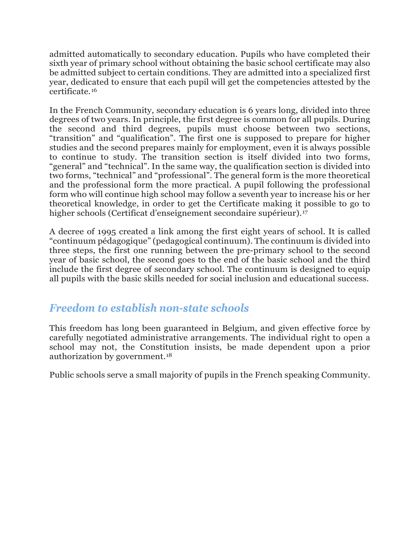admitted automatically to secondary education. Pupils who have completed their sixth year of primary school without obtaining the basic school certificate may also be admitted subject to certain conditions. They are admitted into a specialized first year, dedicated to ensure that each pupil will get the competencies attested by the certificate.[16](#page-15-5)

In the French Community, secondary education is 6 years long, divided into three degrees of two years. In principle, the first degree is common for all pupils. During the second and third degrees, pupils must choose between two sections, "transition" and "qualification". The first one is supposed to prepare for higher studies and the second prepares mainly for employment, even it is always possible to continue to study. The transition section is itself divided into two forms, "general" and "technical". In the same way, the qualification section is divided into two forms, "technical" and "professional". The general form is the more theoretical and the professional form the more practical. A pupil following the professional form who will continue high school may follow a seventh year to increase his or her theoretical knowledge, in order to get the Certificate making it possible to go to higher schools (Certificat d'enseignement secondaire supérieur).<sup>[17](#page-15-6)</sup>

A decree of 1995 created a link among the first eight years of school. It is called "continuum pédagogique" (pedagogical continuum). The continuum is divided into three steps, the first one running between the pre-primary school to the second year of basic school, the second goes to the end of the basic school and the third include the first degree of secondary school. The continuum is designed to equip all pupils with the basic skills needed for social inclusion and educational success.

### *Freedom to establish non-state schools*

This freedom has long been guaranteed in Belgium, and given effective force by carefully negotiated administrative arrangements. The individual right to open a school may not, the Constitution insists, be made dependent upon a prior authorization by government.[18](#page-15-7)

Public schools serve a small majority of pupils in the French speaking Community.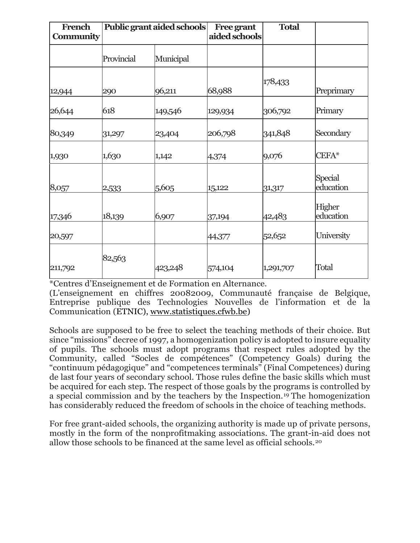| French<br><b>Community</b> | Public grant aided schools |           | <b>Free grant</b><br>aided schools | <b>Total</b> |                      |
|----------------------------|----------------------------|-----------|------------------------------------|--------------|----------------------|
|                            | Provincial                 | Municipal |                                    |              |                      |
| 12,944                     | 290                        | 96,211    | 68,988                             | 178,433      | Preprimary           |
| 26,644                     | 618                        | 149,546   | 129,934                            | 306,792      | Primary              |
| 80,349                     | 31,297                     | 23,404    | 206,798                            | 341,848      | Secondary            |
| 1,930                      | 1,630                      | 1,142     | 4,374                              | 9,076        | CEFA*                |
| 8,057                      | 2,533                      | 5,605     | 15,122                             | 31,317       | Special<br>education |
| 17,346                     | 18,139                     | 6,907     | 37,194                             | 42,483       | Higher<br>education  |
| 20,597                     |                            |           | 44,377                             | 52,652       | University           |
| 211,792                    | 82,563                     | 423,248   | 574,104                            | 1,291,707    | Total                |

\*Centres d'Enseignement et de Formation en Alternance.

(L'enseignement en chiffres 20082009, Communauté française de Belgique, Entreprise publique des Technologies Nouvelles de l'information et de la Communication (ETNIC), [www.statistiques.cfwb.be\)](http://www.statistiques.cfwb.be/)

Schools are supposed to be free to select the teaching methods of their choice. But since "missions" decree of 1997, a homogenization policy is adopted to insure equality of pupils. The schools must adopt programs that respect rules adopted by the Community, called "Socles de compétences" (Competency Goals) during the "continuum pédagogique" and "competences terminals" (Final Competences) during de last four years of secondary school. Those rules define the basic skills which must be acquired for each step. The respect of those goals by the programs is controlled by a special commission and by the teachers by the Inspection.[19](#page-15-8) The homogenization has considerably reduced the freedom of schools in the choice of teaching methods.

For free grant-aided schools, the organizing authority is made up of private persons, mostly in the form of the nonprofitmaking associations. The grant-in-aid does not allow those schools to be financed at the same level as official schools.[20](#page-15-9)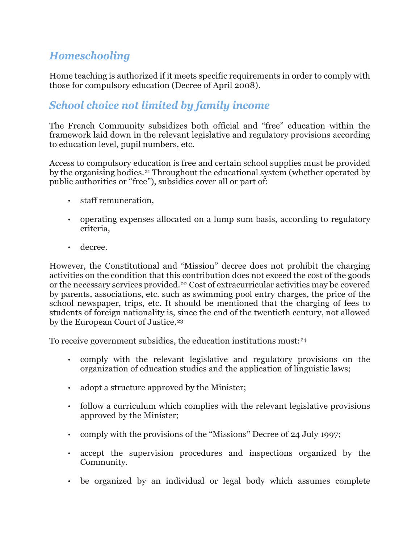### *Homeschooling*

Home teaching is authorized if it meets specific requirements in order to comply with those for compulsory education (Decree of April 2008).

### *School choice not limited by family income*

The French Community subsidizes both official and "free" education within the framework laid down in the relevant legislative and regulatory provisions according to education level, pupil numbers, etc.

Access to compulsory education is free and certain school supplies must be provided by the organising bodies.[21](#page-15-10) Throughout the educational system (whether operated by public authorities or "free"), subsidies cover all or part of:

- staff remuneration,
- operating expenses allocated on a lump sum basis, according to regulatory criteria,
- decree.

However, the Constitutional and "Mission" decree does not prohibit the charging activities on the condition that this contribution does not exceed the cost of the goods or the necessary services provided.[22](#page-15-11) Cost of extracurricular activities may be covered by parents, associations, etc. such as swimming pool entry charges, the price of the school newspaper, trips, etc. It should be mentioned that the charging of fees to students of foreign nationality is, since the end of the twentieth century, not allowed by the European Court of Justice.<sup>[23](#page-15-12)</sup>

To receive government subsidies, the education institutions must:[24](#page-15-13)

- comply with the relevant legislative and regulatory provisions on the organization of education studies and the application of linguistic laws;
- adopt a structure approved by the Minister;
- follow a curriculum which complies with the relevant legislative provisions approved by the Minister;
- comply with the provisions of the "Missions" Decree of 24 July 1997;
- accept the supervision procedures and inspections organized by the Community.
- be organized by an individual or legal body which assumes complete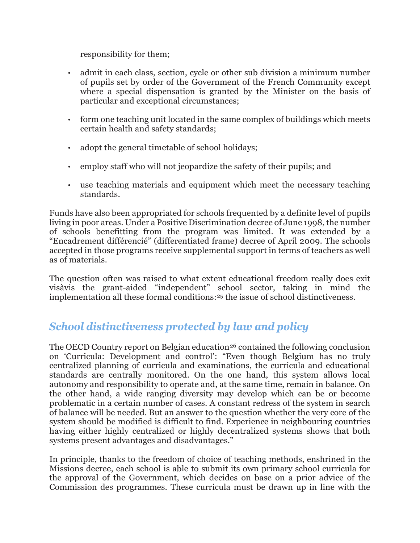responsibility for them;

- admit in each class, section, cycle or other sub division a minimum number of pupils set by order of the Government of the French Community except where a special dispensation is granted by the Minister on the basis of particular and exceptional circumstances;
- form one teaching unit located in the same complex of buildings which meets certain health and safety standards;
- adopt the general timetable of school holidays;
- employ staff who will not jeopardize the safety of their pupils; and
- use teaching materials and equipment which meet the necessary teaching standards.

Funds have also been appropriated for schools frequented by a definite level of pupils living in poor areas. Under a Positive Discrimination decree of June 1998, the number of schools benefitting from the program was limited. It was extended by a "Encadrement différencié" (differentiated frame) decree of April 2009. The schools accepted in those programs receive supplemental support in terms of teachers as well as of materials.

The question often was raised to what extent educational freedom really does exit visàvis the grant-aided "independent" school sector, taking in mind the implementation all these formal conditions:[25](#page-15-14) the issue of school distinctiveness.

### *School distinctiveness protected by law and policy*

The OECD Country report on Belgian education<sup>[26](#page-16-0)</sup> contained the following conclusion on 'Curricula: Development and control': "Even though Belgium has no truly centralized planning of curricula and examinations, the curricula and educational standards are centrally monitored. On the one hand, this system allows local autonomy and responsibility to operate and, at the same time, remain in balance. On the other hand, a wide ranging diversity may develop which can be or become problematic in a certain number of cases. A constant redress of the system in search of balance will be needed. But an answer to the question whether the very core of the system should be modified is difficult to find. Experience in neighbouring countries having either highly centralized or highly decentralized systems shows that both systems present advantages and disadvantages."

In principle, thanks to the freedom of choice of teaching methods, enshrined in the Missions decree, each school is able to submit its own primary school curricula for the approval of the Government, which decides on base on a prior advice of the Commission des programmes. These curricula must be drawn up in line with the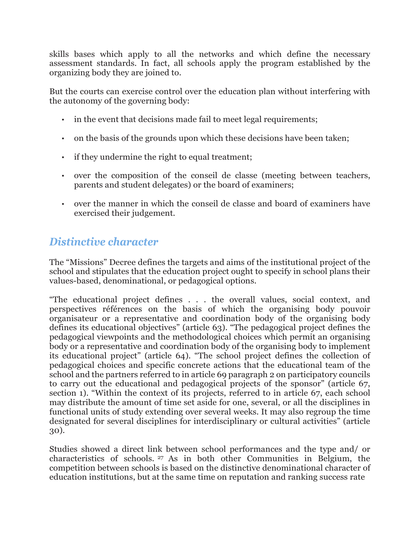skills bases which apply to all the networks and which define the necessary assessment standards. In fact, all schools apply the program established by the organizing body they are joined to.

But the courts can exercise control over the education plan without interfering with the autonomy of the governing body:

- in the event that decisions made fail to meet legal requirements;
- on the basis of the grounds upon which these decisions have been taken;
- if they undermine the right to equal treatment;
- over the composition of the conseil de classe (meeting between teachers, parents and student delegates) or the board of examiners;
- over the manner in which the conseil de classe and board of examiners have exercised their judgement.

### *Distinctive character*

The "Missions" Decree defines the targets and aims of the institutional project of the school and stipulates that the education project ought to specify in school plans their values-based, denominational, or pedagogical options.

"The educational project defines . . . the overall values, social context, and perspectives références on the basis of which the organising body pouvoir organisateur or a representative and coordination body of the organising body defines its educational objectives" (article 63). "The pedagogical project defines the pedagogical viewpoints and the methodological choices which permit an organising body or a representative and coordination body of the organising body to implement its educational project" (article 64). "The school project defines the collection of pedagogical choices and specific concrete actions that the educational team of the school and the partners referred to in article 69 paragraph 2 on participatory councils to carry out the educational and pedagogical projects of the sponsor" (article 67, section 1). "Within the context of its projects, referred to in article 67, each school may distribute the amount of time set aside for one, several, or all the disciplines in functional units of study extending over several weeks. It may also regroup the time designated for several disciplines for interdisciplinary or cultural activities" (article 30).

Studies showed a direct link between school performances and the type and/ or characteristics of schools. [27](#page-16-1) As in both other Communities in Belgium, the competition between schools is based on the distinctive denominational character of education institutions, but at the same time on reputation and ranking success rate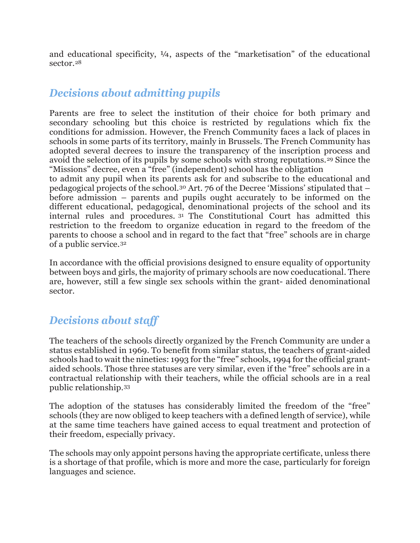and educational specificity, ¼, aspects of the "marketisation" of the educational sector.[28](#page-16-2)

#### *Decisions about admitting pupils*

Parents are free to select the institution of their choice for both primary and secondary schooling but this choice is restricted by regulations which fix the conditions for admission. However, the French Community faces a lack of places in schools in some parts of its territory, mainly in Brussels. The French Community has adopted several decrees to insure the transparency of the inscription process and avoid the selection of its pupils by some schools with strong reputations.<sup>[29](#page-16-3)</sup> Since the "Missions" decree, even a "free" (independent) school has the obligation

to admit any pupil when its parents ask for and subscribe to the educational and pedagogical projects of the school.[30](#page-16-4) Art. 76 of the Decree 'Missions' stipulated that – before admission – parents and pupils ought accurately to be informed on the different educational, pedagogical, denominational projects of the school and its internal rules and procedures. [31](#page-16-5) The Constitutional Court has admitted this restriction to the freedom to organize education in regard to the freedom of the parents to choose a school and in regard to the fact that "free" schools are in charge of a public service.[32](#page-16-6)

In accordance with the official provisions designed to ensure equality of opportunity between boys and girls, the majority of primary schools are now coeducational. There are, however, still a few single sex schools within the grant- aided denominational sector.

### *Decisions about staff*

The teachers of the schools directly organized by the French Community are under a status established in 1969. To benefit from similar status, the teachers of grant-aided schools had to wait the nineties: 1993 for the "free" schools, 1994 for the official grantaided schools. Those three statuses are very similar, even if the "free" schools are in a contractual relationship with their teachers, while the official schools are in a real public relationship.[33](#page-16-7)

The adoption of the statuses has considerably limited the freedom of the "free" schools (they are now obliged to keep teachers with a defined length of service), while at the same time teachers have gained access to equal treatment and protection of their freedom, especially privacy.

The schools may only appoint persons having the appropriate certificate, unless there is a shortage of that profile, which is more and more the case, particularly for foreign languages and science.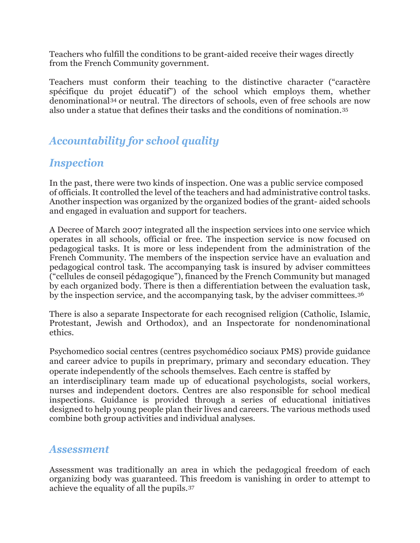Teachers who fulfill the conditions to be grant-aided receive their wages directly from the French Community government.

Teachers must conform their teaching to the distinctive character ("caractère spécifique du projet éducatif") of the school which employs them, whether denominational[34](#page-16-8) or neutral. The directors of schools, even of free schools are now also under a statue that defines their tasks and the conditions of nomination.[35](#page-16-9)

## *Accountability for school quality*

#### *Inspection*

In the past, there were two kinds of inspection. One was a public service composed of officials. It controlled the level of the teachers and had administrative control tasks. Another inspection was organized by the organized bodies of the grant- aided schools and engaged in evaluation and support for teachers.

A Decree of March 2007 integrated all the inspection services into one service which operates in all schools, official or free. The inspection service is now focused on pedagogical tasks. It is more or less independent from the administration of the French Community. The members of the inspection service have an evaluation and pedagogical control task. The accompanying task is insured by adviser committees ("cellules de conseil pédagogique"), financed by the French Community but managed by each organized body. There is then a differentiation between the evaluation task, by the inspection service, and the accompanying task, by the adviser committees.[36](#page-16-10)

There is also a separate Inspectorate for each recognised religion (Catholic, Islamic, Protestant, Jewish and Orthodox), and an Inspectorate for nondenominational ethics.

Psychomedico social centres (centres psychomédico sociaux PMS) provide guidance and career advice to pupils in preprimary, primary and secondary education. They operate independently of the schools themselves. Each centre is staffed by

an interdisciplinary team made up of educational psychologists, social workers, nurses and independent doctors. Centres are also responsible for school medical inspections. Guidance is provided through a series of educational initiatives designed to help young people plan their lives and careers. The various methods used combine both group activities and individual analyses.

#### *Assessment*

Assessment was traditionally an area in which the pedagogical freedom of each organizing body was guaranteed. This freedom is vanishing in order to attempt to achieve the equality of all the pupils.[37](#page-16-11)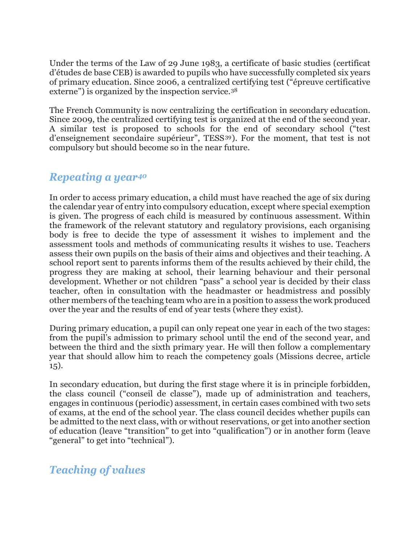Under the terms of the Law of 29 June 1983, a certificate of basic studies (certificat d'études de base CEB) is awarded to pupils who have successfully completed six years of primary education. Since 2006, a centralized certifying test ("épreuve certificative externe") is organized by the inspection service.<sup>[38](#page-16-12)</sup>

The French Community is now centralizing the certification in secondary education. Since 2009, the centralized certifying test is organized at the end of the second year. A similar test is proposed to schools for the end of secondary school ("test d'enseignement secondaire supérieur", TESS[39](#page-16-13)). For the moment, that test is not compulsory but should become so in the near future.

#### *Repeating a year[40](#page-16-14)*

In order to access primary education, a child must have reached the age of six during the calendar year of entry into compulsory education, except where special exemption is given. The progress of each child is measured by continuous assessment. Within the framework of the relevant statutory and regulatory provisions, each organising body is free to decide the type of assessment it wishes to implement and the assessment tools and methods of communicating results it wishes to use. Teachers assess their own pupils on the basis of their aims and objectives and their teaching. A school report sent to parents informs them of the results achieved by their child, the progress they are making at school, their learning behaviour and their personal development. Whether or not children "pass" a school year is decided by their class teacher, often in consultation with the headmaster or headmistress and possibly other members of the teaching team who are in a position to assess the work produced over the year and the results of end of year tests (where they exist).

During primary education, a pupil can only repeat one year in each of the two stages: from the pupil's admission to primary school until the end of the second year, and between the third and the sixth primary year. He will then follow a complementary year that should allow him to reach the competency goals (Missions decree, article 15).

In secondary education, but during the first stage where it is in principle forbidden, the class council ("conseil de classe"), made up of administration and teachers, engages in continuous (periodic) assessment, in certain cases combined with two sets of exams, at the end of the school year. The class council decides whether pupils can be admitted to the next class, with or without reservations, or get into another section of education (leave "transition" to get into "qualification") or in another form (leave "general" to get into "technical").

### *Teaching of values*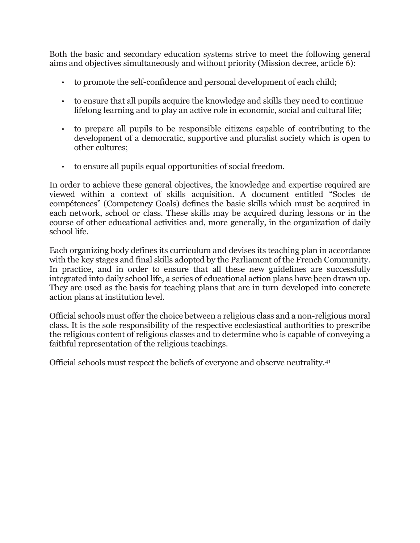Both the basic and secondary education systems strive to meet the following general aims and objectives simultaneously and without priority (Mission decree, article 6):

- to promote the self-confidence and personal development of each child;
- to ensure that all pupils acquire the knowledge and skills they need to continue lifelong learning and to play an active role in economic, social and cultural life;
- to prepare all pupils to be responsible citizens capable of contributing to the development of a democratic, supportive and pluralist society which is open to other cultures;
- to ensure all pupils equal opportunities of social freedom.

In order to achieve these general objectives, the knowledge and expertise required are viewed within a context of skills acquisition. A document entitled "Socles de compétences" (Competency Goals) defines the basic skills which must be acquired in each network, school or class. These skills may be acquired during lessons or in the course of other educational activities and, more generally, in the organization of daily school life.

Each organizing body defines its curriculum and devises its teaching plan in accordance with the key stages and final skills adopted by the Parliament of the French Community. In practice, and in order to ensure that all these new guidelines are successfully integrated into daily school life, a series of educational action plans have been drawn up. They are used as the basis for teaching plans that are in turn developed into concrete action plans at institution level.

Official schools must offer the choice between a religious class and a non-religious moral class. It is the sole responsibility of the respective ecclesiastical authorities to prescribe the religious content of religious classes and to determine who is capable of conveying a faithful representation of the religious teachings.

Official schools must respect the beliefs of everyone and observe neutrality.[41](#page-16-1)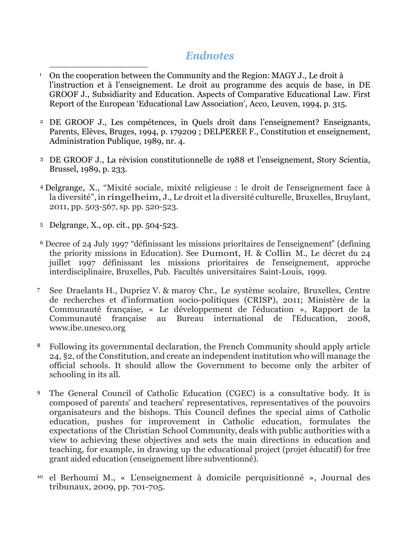#### *Endnotes*

- **<sup>1</sup>** On the cooperation between the Community and the Region: MAGY J., Le droit à l'instruction et à l'enseignement. Le droit au programme des acquis de base, in DE GROOF J., Subsidiarity and Education. Aspects of Comparative Educational Law. First Report of the European 'Educational Law Association', Acco, Leuven, 1994, p. 315.  $\overline{a}$
- <sup>2</sup> DE GROOF J., Les compétences, in Quels droit dans l'enseignement? Enseignants, Parents, Elèves, Bruges, 1994, p. 179209 ; DELPEREE F., Constitution et enseignement, Administration Publique, 1989, nr. 4.
- <sup>3</sup> DE GROOF J., La révision constitutionnelle de 1988 et l'enseignement, Story Scientia, Brussel, 1989, p. 233.
- <sup>4</sup> Delgrange, X., "Mixité sociale, mixité religieuse : le droit de l'enseignement face à la diversité", in ringelheim, J., Le droit etla diversité culturelle, Bruxelles, Bruylant, 2011, pp. 503-567, sp. pp. 520-523.
- <sup>5</sup> Delgrange, X., op. cit., pp. 504-523.
- <sup>6</sup> Decree of 24 July 1997 "définissant les missions prioritaires de l'enseignement" (defining the priority missions in Education). See Dumont, H. & Collin M., Le décret du 24 juillet 1997 définissant les missions prioritaires de l'enseignement, approche interdisciplinaire, Bruxelles, Pub. Facultés universitaires Saint-Louis, 1999.
- <sup>7</sup> See Draelants H., Dupriez V. & maroy Chr., Le système scolaire, Bruxelles, Centre de recherches et d'information socio-politiques (CRISP), 2011; Ministère de la Communauté française, « Le développement de l'éducation », Rapport de la Communauté française au Bureau international de l'Education, 2008, [www.ibe.unesco.org](http://www.ibe.unesco.org/)
- <sup>8</sup> Following its governmental declaration, the French Community should apply article 24, §2, of the Constitution, and create an independentinstitution who will manage the official schools. It should allow the Government to become only the arbiter of schooling in its all.
- <sup>9</sup> The General Council of Catholic Education (CGEC) is a consultative body. It is composed of parents' and teachers' representatives, representatives of the pouvoirs organisateurs and the bishops. This Council defines the special aims of Catholic education, pushes for improvement in Catholic education, formulates the expectations of the Christian School Community, deals with public authorities with a view to achieving these objectives and sets the main directions in education and teaching, for example, in drawing up the educational project (projet éducatif) for free grant aided education (enseignement libre subventionné).
- <sup>10</sup> el Berhoumi M., « L'enseignement à domicile perquisitionné », Journal des tribunaux, 2009, pp. 701-705.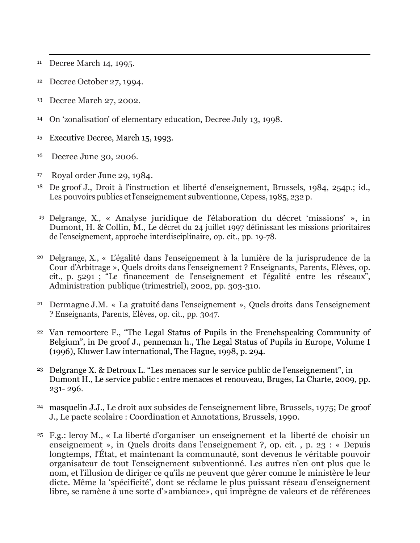<sup>11</sup> Decree March 14, 1995.

 $\overline{a}$ 

- <span id="page-14-0"></span><sup>12</sup> Decree October 27, 1994.
- <sup>13</sup> Decree March 27, 2002.
- <span id="page-14-1"></span><sup>14</sup> On 'zonalisation' of elementary education, Decree July 13, 1998.
- <sup>15</sup> Executive Decree, March 15, 1993.
- <span id="page-14-2"></span><sup>16</sup> Decree June 30, 2006.
- <sup>17</sup> Royal order June 29, 1984.
- <span id="page-14-3"></span><sup>18</sup> De groof J., Droit à l'instruction et liberté d'enseignement, Brussels, 1984, 254p.; id., Les pouvoirs publics et l'enseignement subventionne, Cepess, 1985, 232 p.
- <span id="page-14-4"></span><sup>19</sup> Delgrange, X., « Analyse juridique de l'élaboration du décret 'missions' », in Dumont, H. & Collin, M., Le décret du 24 juillet 1997 définissant les missions prioritaires de l'enseignement, approche interdisciplinaire, op. cit., pp. 19-78.
- <span id="page-14-5"></span><sup>20</sup> Delgrange, X., « L'égalité dans l'enseignement à la lumière de la jurisprudence de la Cour d'Arbitrage », Quels droits dans l'enseignement ? Enseignants, Parents, Elèves, op. cit., p. 5291 ; "Le financement de l'enseignement et l'égalité entre les réseaux", Administration publique (trimestriel), 2002, pp. 303-310.
- <span id="page-14-6"></span><sup>21</sup> Dermagne J.M. « La gratuité dans l'enseignement », Quels droits dans l'enseignement ? Enseignants, Parents, Elèves, op. cit., pp. 3047.
- <span id="page-14-7"></span><sup>22</sup> Van remoortere F., "The Legal Status of Pupils in the Frenchspeaking Community of Belgium", in De groof J., penneman h., The Legal Status of Pupils in Europe, Volume I (1996), Kluwer Law international, The Hague, 1998, p. 294.
- <sup>23</sup> Delgrange X. & Detroux L. "Les menaces sur le service public de l'enseignement", in Dumont H., Le service public : entre menaces et renouveau, Bruges, La Charte, 2009, pp. 231- 296.
- <span id="page-14-8"></span><sup>24</sup> masquelin J.J., Le droit aux subsides de l'enseignement libre, Brussels, 1975; De groof J., Le pacte scolaire : Coordination et Annotations, Brussels, 1990.
- <span id="page-14-9"></span><sup>25</sup> F.g.: leroy M., « La liberté d'organiser un enseignement et la liberté de choisir un enseignement », in Quels droits dans l'enseignement ?, op. cit. , p. 23 : « Depuis longtemps, l'État, et maintenant la communauté, sont devenus le véritable pouvoir organisateur de tout l'enseignement subventionné. Les autres n'en ont plus que le nom, et l'illusion de diriger ce qu'ils ne peuvent que gérer comme le ministère le leur dicte. Même la 'spécificité', dont se réclame le plus puissant réseau d'enseignement libre, se ramène à une sorte d'»ambiance», qui imprègne de valeurs et de références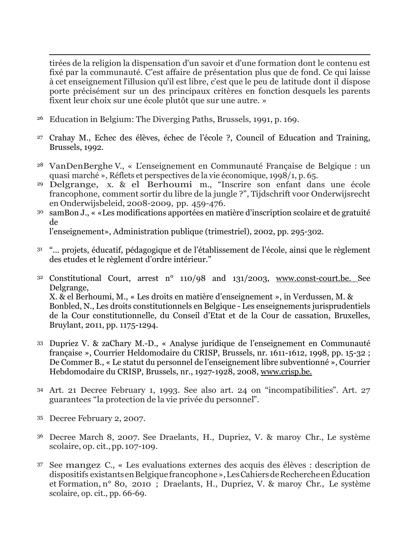<span id="page-15-0"></span> $\overline{a}$ tirées de la religion la dispensation d'un savoir et d'une formation dont le contenu est fixé par la communauté. C'est affaire de présentation plus que de fond. Ce qui laisse à cet enseignement l'illusion qu'il est libre, c'est que le peu de latitude dont il dispose porte précisément sur un des principaux critères en fonction desquels les parents fixent leur choix sur une école plutôt que sur une autre. »

- <span id="page-15-3"></span><span id="page-15-2"></span><span id="page-15-1"></span><sup>26</sup> Education in Belgium: The Diverging Paths, Brussels, 1991, p. 169.
- <span id="page-15-4"></span><sup>27</sup> Crahay M., Echec des élèves, échec de l'école ?, Council of Education and Training, Brussels, 1992.
- <span id="page-15-5"></span><sup>28</sup> VanDenBerghe V., « L'enseignement en Communauté Française de Belgique : un quasi marché », Réflets et perspectives de la vie économique, 1998/1, p. 65.
- <span id="page-15-7"></span><span id="page-15-6"></span><sup>29</sup> Delgrange, x. & el Berhoumi m., "Inscrire son enfant dans une école francophone, comment sortir du libre de la jungle ?", Tijdschrift voor Onderwijsrecht en Onderwijsbeleid, 2008-2009, pp. 459-476.
- <span id="page-15-8"></span><sup>30</sup> samBon J., « «Les modifications apportées en matière d'inscription scolaire et de gratuité de

l'enseignement», Administration publique (trimestriel), 2002, pp. 295-302.

- <span id="page-15-9"></span><sup>31</sup> "... projets, éducatif, pédagogique et de l'établissement de l'école, ainsi que le règlement des etudes et le règlement d'ordre intérieur."
- <span id="page-15-10"></span><sup>32</sup> Constitutional Court, arrest n° 110/98 and 131/2003, [www.const-court.be. S](http://www.const-court.be/)ee Delgrange, X. & el Berhoumi, M., « Les droits en matière d'enseignement », in Verdussen, M. & Bonbled, N., Les droits constitutionnels en Belgique - Les enseignements jurisprudentiels de la Cour constitutionnelle, du Conseil d'Etat et de la Cour de cassation, Bruxelles, Bruylant, 2011, pp. 1175-1294.
- <span id="page-15-11"></span><sup>33</sup> Dupriez V. & zaChary M.-D., « Analyse juridique de l'enseignement en Communauté française », Courrier Heldomodaire du CRISP, Brussels, nr. 1611-1612, 1998, pp. 15-32 ; De Commer B., « Le statut du personnel de l'enseignement libre subventionné », Courrier Hebdomodaire du CRISP, Brussels, nr., 1927-1928, 2008, [www.crisp.be.](http://www.crisp.be/)
- <span id="page-15-12"></span><sup>34</sup> Art. 21 Decree February 1, 1993. See also art. 24 on "incompatibilities". Art. 27 guarantees "la protection de la vie privée du personnel".
- <span id="page-15-13"></span><sup>35</sup> Decree February 2, 2007.
- <span id="page-15-14"></span><sup>36</sup> Decree March 8, 2007. See Draelants, H., Dupriez, V. & maroy Chr., Le système scolaire, op. cit.,pp. 107-109.
- <sup>37</sup> See mangez C., « Les evaluations externes des acquis des élèves : description de dispositifs existantsenBelgiquefrancophone»,LesCahiersdeRechercheenÉducation et Formation, n° 80, 2010 ; Draelants, H., Dupriez, V. & maroy Chr., Le système scolaire, op. cit., pp. 66-69.